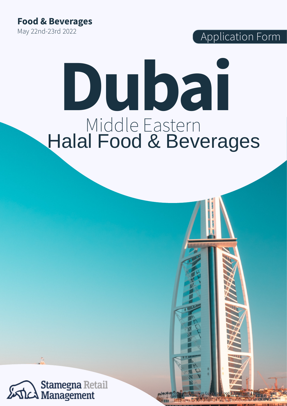**Food & Beverages** May 22nd-23rd 2022

Application Form

# **Dubai** Middle Eastern Halal Food & Beverages

Application Form J Western European Food & Beverages 12022

**Application Form Middle Eastern Food & Beverages 12021** 

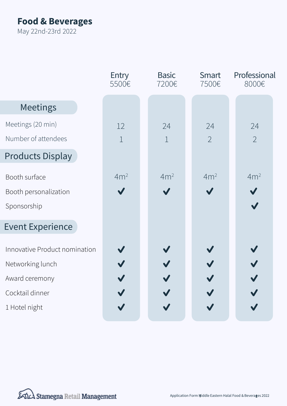# **Food & Beverages**

May 22nd-23rd 2022

|                               | Entry<br>5500€  | <b>Basic</b><br>7200€ | Smart<br>7500€  | Professional<br>8000€ |
|-------------------------------|-----------------|-----------------------|-----------------|-----------------------|
| Meetings                      |                 |                       |                 |                       |
| Meetings (20 min)             | 12              | 24                    | 24              | 24                    |
| Number of attendees           | $\mathbf 1$     | $\mathbf{1}$          | $\overline{2}$  | $\overline{2}$        |
| <b>Products Display</b>       |                 |                       |                 |                       |
| Booth surface                 | 4m <sup>2</sup> | 4m <sup>2</sup>       | 4m <sup>2</sup> | 4m <sup>2</sup>       |
| Booth personalization         |                 |                       |                 |                       |
| Sponsorship                   |                 |                       |                 |                       |
| <b>Event Experience</b>       |                 |                       |                 |                       |
| Innovative Product nomination |                 |                       |                 |                       |
| Networking lunch              |                 |                       |                 |                       |
| Award ceremony                |                 |                       |                 |                       |
| Cocktail dinner               |                 |                       |                 |                       |
| 1 Hotel night                 |                 |                       |                 |                       |

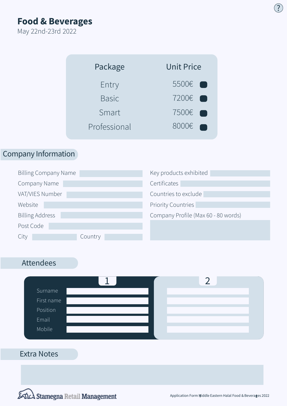**Food & Beverages**

May 22nd-23rd 2022

Fill out all the required information. Select all the categories and types of customers you are interested in.  $\chi$  . The contract of the contract of  $\Omega$ 

Once you finished, please be sure to sign the form with your name and company, save it and send it to us digitally.

| Package      | <b>Unit Price</b>              |  |  |
|--------------|--------------------------------|--|--|
| Entry        | 5500€ ?                        |  |  |
| <b>Basic</b> | 7200€ ₹                        |  |  |
| Smart        | 7500€ ?                        |  |  |
| Professional | 8000€<br>$\boldsymbol{\varpi}$ |  |  |

### Company Information

| <b>Billing Company Name</b> | Key products exhibited              |
|-----------------------------|-------------------------------------|
| Company Name                | Certificates                        |
| VAT/VIES Number             | Countries to exclude                |
| Website                     | <b>Priority Countries</b>           |
| <b>Billing Address</b>      | Company Profile (Max 60 - 80 words) |
| Post Code                   |                                     |
| Country<br>City             |                                     |

## Attendees



#### Extra Notes